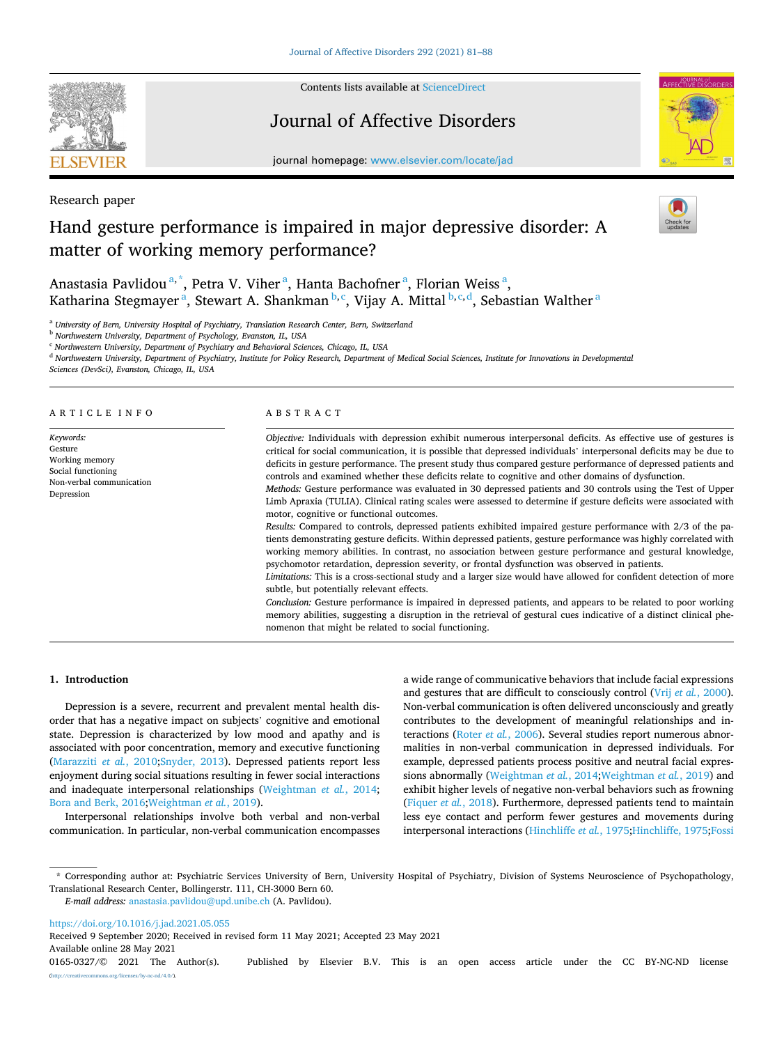

Research paper

Contents lists available at [ScienceDirect](www.sciencedirect.com/science/journal/01650327)

# Journal of Affective Disorders



journal homepage: [www.elsevier.com/locate/jad](https://www.elsevier.com/locate/jad)

# Hand gesture performance is impaired in major depressive disorder: A matter of working memory performance?



Anastasia Pavlidou<sup>a,\*</sup>, Petra V. Viher<sup>a</sup>, Hanta Bachofner<sup>a</sup>, Florian Weiss<sup>a</sup>, Katharina Stegmayer<sup>a</sup>, Stewart A. Shankman<sup>b,c</sup>, Vijay A. Mittal<sup>b,c,d</sup>, Sebastian Walther<sup>a</sup>

<sup>a</sup> *University of Bern, University Hospital of Psychiatry, Translation Research Center, Bern, Switzerland* 

<sup>b</sup> *Northwestern University, Department of Psychology, Evanston, IL, USA* 

<sup>c</sup> *Northwestern University, Department of Psychiatry and Behavioral Sciences, Chicago, IL, USA* 

<sup>d</sup> *Northwestern University, Department of Psychiatry, Institute for Policy Research, Department of Medical Social Sciences, Institute for Innovations in Developmental* 

*Sciences (DevSci), Evanston, Chicago, IL, USA* 

#### ARTICLE INFO

*Keywords:*  Gesture Working memory Social functioning Non-verbal communication Depression

## ABSTRACT

*Objective:* Individuals with depression exhibit numerous interpersonal deficits. As effective use of gestures is critical for social communication, it is possible that depressed individuals' interpersonal deficits may be due to deficits in gesture performance. The present study thus compared gesture performance of depressed patients and controls and examined whether these deficits relate to cognitive and other domains of dysfunction.

*Methods:* Gesture performance was evaluated in 30 depressed patients and 30 controls using the Test of Upper Limb Apraxia (TULIA). Clinical rating scales were assessed to determine if gesture deficits were associated with motor, cognitive or functional outcomes.

*Results:* Compared to controls, depressed patients exhibited impaired gesture performance with 2/3 of the patients demonstrating gesture deficits. Within depressed patients, gesture performance was highly correlated with working memory abilities. In contrast, no association between gesture performance and gestural knowledge, psychomotor retardation, depression severity, or frontal dysfunction was observed in patients.

*Limitations:* This is a cross-sectional study and a larger size would have allowed for confident detection of more subtle, but potentially relevant effects.

*Conclusion:* Gesture performance is impaired in depressed patients, and appears to be related to poor working memory abilities, suggesting a disruption in the retrieval of gestural cues indicative of a distinct clinical phenomenon that might be related to social functioning.

# **1. Introduction**

Depression is a severe, recurrent and prevalent mental health disorder that has a negative impact on subjects' cognitive and emotional state. Depression is characterized by low mood and apathy and is associated with poor concentration, memory and executive functioning ([Marazziti](#page-6-0) *et al.*, 2010;[Snyder, 2013](#page-7-0)). Depressed patients report less enjoyment during social situations resulting in fewer social interactions and inadequate interpersonal relationships ([Weightman](#page-7-0) *et al.*, 2014; [Bora and Berk, 2016](#page-6-0);[Weightman](#page-7-0) *et al.*, 2019).

Interpersonal relationships involve both verbal and non-verbal communication. In particular, non-verbal communication encompasses a wide range of communicative behaviors that include facial expressions and gestures that are difficult to consciously control (Vrij *et al.*[, 2000](#page-7-0)). Non-verbal communication is often delivered unconsciously and greatly contributes to the development of meaningful relationships and interactions (Roter *et al.*[, 2006](#page-7-0)). Several studies report numerous abnormalities in non-verbal communication in depressed individuals. For example, depressed patients process positive and neutral facial expressions abnormally [\(Weightman](#page-7-0) *et al.*, 2014;[Weightman](#page-7-0) *et al.*, 2019) and exhibit higher levels of negative non-verbal behaviors such as frowning ([Fiquer](#page-6-0) *et al.*, 2018). Furthermore, depressed patients tend to maintain less eye contact and perform fewer gestures and movements during interpersonal interactions [\(Hinchliffe](#page-6-0) *et al.*, 1975;[Hinchliffe, 1975;Fossi](#page-6-0) 

\* Corresponding author at: Psychiatric Services University of Bern, University Hospital of Psychiatry, Division of Systems Neuroscience of Psychopathology, Translational Research Center, Bollingerstr. 111, CH-3000 Bern 60.

*E-mail address:* [anastasia.pavlidou@upd.unibe.ch](mailto:anastasia.pavlidou@upd.unibe.ch) (A. Pavlidou).

<https://doi.org/10.1016/j.jad.2021.05.055>

Available online 28 May 2021 0165-0327/© 2021 The Author(s). Published by Elsevier B.V. This is an open access article under the CC BY-NC-ND license [\(http://creativecommons.org/licenses/by-nc-nd/4.0/\)](http://creativecommons.org/licenses/by-nc-nd/4.0/). Received 9 September 2020; Received in revised form 11 May 2021; Accepted 23 May 2021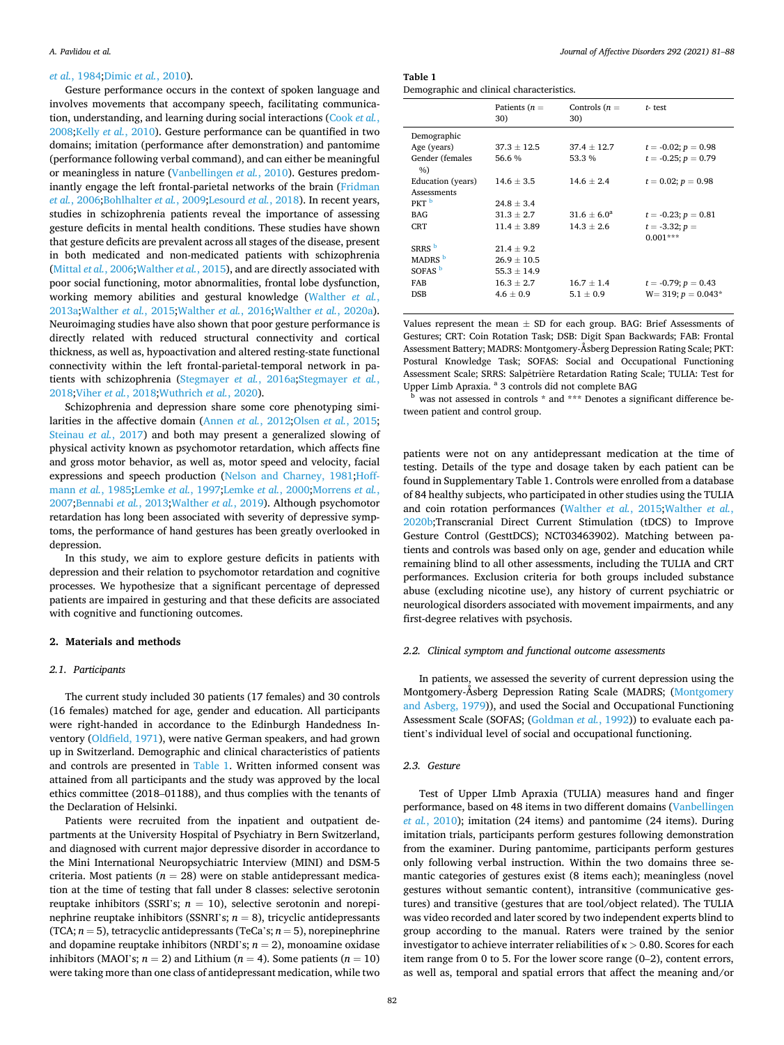# <span id="page-1-0"></span>*et al.*[, 1984;Dimic](#page-6-0) *et al.*, 2010).

Gesture performance occurs in the context of spoken language and involves movements that accompany speech, facilitating communication, understanding, and learning during social interactions [\(Cook](#page-6-0) *et al.*, [2008;](#page-6-0)Kelly *et al.*[, 2010\)](#page-6-0). Gesture performance can be quantified in two domains; imitation (performance after demonstration) and pantomime (performance following verbal command), and can either be meaningful or meaningless in nature ([Vanbellingen](#page-7-0) *et al.*, 2010). Gestures predominantly engage the left frontal-parietal networks of the brain ([Fridman](#page-6-0)  *et al.*[, 2006](#page-6-0);[Bohlhalter](#page-6-0) *et al.*, 2009;[Lesourd](#page-6-0) *et al.*, 2018). In recent years, studies in schizophrenia patients reveal the importance of assessing gesture deficits in mental health conditions. These studies have shown that gesture deficits are prevalent across all stages of the disease, present in both medicated and non-medicated patients with schizophrenia ([Mittal](#page-6-0) *et al.*, 2006;[Walther](#page-7-0) *et al.*, 2015), and are directly associated with poor social functioning, motor abnormalities, frontal lobe dysfunction, working memory abilities and gestural knowledge [\(Walther](#page-7-0) *et al.*, [2013a;Walther](#page-7-0) *et al.*, 2015[;Walther](#page-7-0) *et al.*, 2016[;Walther](#page-7-0) *et al.*, 2020a). Neuroimaging studies have also shown that poor gesture performance is directly related with reduced structural connectivity and cortical thickness, as well as, hypoactivation and altered resting-state functional connectivity within the left frontal-parietal-temporal network in patients with schizophrenia [\(Stegmayer](#page-7-0) *et al.*, 2016a;[Stegmayer](#page-7-0) *et al.*, [2018;](#page-7-0)Viher *et al.*[, 2018;Wuthrich](#page-7-0) *et al.*, 2020).

Schizophrenia and depression share some core phenotyping similarities in the affective domain ([Annen](#page-6-0) *et al.*, 2012;Olsen *et al.*[, 2015](#page-7-0); [Steinau](#page-7-0) *et al.*, 2017) and both may present a generalized slowing of physical activity known as psychomotor retardation, which affects fine and gross motor behavior, as well as, motor speed and velocity, facial expressions and speech production ([Nelson and Charney, 1981](#page-7-0);[Hoff](#page-6-0)mann *et al.*[, 1985;Lemke](#page-6-0) *et al.*, 1997;[Lemke](#page-6-0) *et al.*, 2000;[Morrens](#page-6-0) *et al.*, [2007;Bennabi](#page-6-0) *et al.*, 2013[;Walther](#page-7-0) *et al.*, 2019). Although psychomotor retardation has long been associated with severity of depressive symptoms, the performance of hand gestures has been greatly overlooked in depression.

In this study, we aim to explore gesture deficits in patients with depression and their relation to psychomotor retardation and cognitive processes. We hypothesize that a significant percentage of depressed patients are impaired in gesturing and that these deficits are associated with cognitive and functioning outcomes.

# **2. Materials and methods**

# *2.1. Participants*

The current study included 30 patients (17 females) and 30 controls (16 females) matched for age, gender and education. All participants were right-handed in accordance to the Edinburgh Handedness Inventory ([Oldfield, 1971\)](#page-7-0), were native German speakers, and had grown up in Switzerland. Demographic and clinical characteristics of patients and controls are presented in Table 1. Written informed consent was attained from all participants and the study was approved by the local ethics committee (2018–01188), and thus complies with the tenants of the Declaration of Helsinki.

Patients were recruited from the inpatient and outpatient departments at the University Hospital of Psychiatry in Bern Switzerland, and diagnosed with current major depressive disorder in accordance to the Mini International Neuropsychiatric Interview (MINI) and DSM-5 criteria. Most patients ( $n = 28$ ) were on stable antidepressant medication at the time of testing that fall under 8 classes: selective serotonin reuptake inhibitors (SSRI's;  $n = 10$ ), selective serotonin and norepinephrine reuptake inhibitors (SSNRI's;  $n = 8$ ), tricyclic antidepressants (TCA;  $n = 5$ ), tetracyclic antidepressants (TeCa's;  $n = 5$ ), norepinephrine and dopamine reuptake inhibitors (NRDI's;  $n = 2$ ), monoamine oxidase inhibitors (MAOI's;  $n = 2$ ) and Lithium ( $n = 4$ ). Some patients ( $n = 10$ ) were taking more than one class of antidepressant medication, while two

**Table 1**  Demographic and clinical characteristics.

| b chrogruphic und ennieur enurueterio |                        |                        |                          |  |  |  |  |  |  |  |
|---------------------------------------|------------------------|------------------------|--------------------------|--|--|--|--|--|--|--|
|                                       | Patients $(n =$<br>30) | Controls $(n =$<br>30) | $t$ - test               |  |  |  |  |  |  |  |
| Demographic                           |                        |                        |                          |  |  |  |  |  |  |  |
| Age (years)                           | $37.3 \pm 12.5$        | $37.4 \pm 12.7$        | $t = -0.02; p = 0.98$    |  |  |  |  |  |  |  |
| Gender (females<br>%                  | 56.6 %                 | 53.3%                  | $t = -0.25$ ; $p = 0.79$ |  |  |  |  |  |  |  |
| Education (years)                     | $14.6 \pm 3.5$         | $14.6 \pm 2.4$         | $t = 0.02; p = 0.98$     |  |  |  |  |  |  |  |
| Assessments                           |                        |                        |                          |  |  |  |  |  |  |  |
| PKT <sup>b</sup>                      | $24.8 \pm 3.4$         |                        |                          |  |  |  |  |  |  |  |
| <b>BAG</b>                            | $31.3 \pm 2.7$         | $31.6 \pm 6.0^a$       | $t = -0.23$ ; $p = 0.81$ |  |  |  |  |  |  |  |
| CRT                                   | $11.4 \pm 3.89$        | $14.3 \pm 2.6$         | $t = -3.32; p =$         |  |  |  |  |  |  |  |
|                                       |                        |                        | $0.001***$               |  |  |  |  |  |  |  |
| SRRS <sup>b</sup>                     | $21.4 \pm 9.2$         |                        |                          |  |  |  |  |  |  |  |
| MADRS <sup>b</sup>                    | $26.9 \pm 10.5$        |                        |                          |  |  |  |  |  |  |  |
| SOFAS <sup>b</sup>                    | $55.3 \pm 14.9$        |                        |                          |  |  |  |  |  |  |  |
| FAB                                   | $16.3 \pm 2.7$         | $16.7 \pm 1.4$         | $t = -0.79; p = 0.43$    |  |  |  |  |  |  |  |
| <b>DSB</b>                            | $4.6 \pm 0.9$          | $5.1 \pm 0.9$          | $W = 319$ ; $p = 0.043*$ |  |  |  |  |  |  |  |
|                                       |                        |                        |                          |  |  |  |  |  |  |  |

Values represent the mean  $\pm$  SD for each group. BAG: Brief Assessments of Gestures; CRT: Coin Rotation Task; DSB: Digit Span Backwards; FAB: Frontal Assessment Battery; MADRS: Montgomery-Åsberg Depression Rating Scale; PKT: Postural Knowledge Task; SOFAS: Social and Occupational Functioning Assessment Scale; SRRS: Salpêtrière Retardation Rating Scale; TULIA: Test for Upper Limb Apraxia. <sup>a</sup> 3 controls did not complete BAG b was not assessed in controls  $*$  and  $***$  Denotes a significant difference be-

tween patient and control group.

patients were not on any antidepressant medication at the time of testing. Details of the type and dosage taken by each patient can be found in Supplementary Table 1. Controls were enrolled from a database of 84 healthy subjects, who participated in other studies using the TULIA and coin rotation performances ([Walther](#page-7-0) *et al.*, 2015[;Walther](#page-7-0) *et al.*, [2020b;](#page-7-0)Transcranial Direct Current Stimulation (tDCS) to Improve Gesture Control (GesttDCS); NCT03463902). Matching between patients and controls was based only on age, gender and education while remaining blind to all other assessments, including the TULIA and CRT performances. Exclusion criteria for both groups included substance abuse (excluding nicotine use), any history of current psychiatric or neurological disorders associated with movement impairments, and any first-degree relatives with psychosis.

# *2.2. Clinical symptom and functional outcome assessments*

In patients, we assessed the severity of current depression using the Montgomery-Åsberg Depression Rating Scale (MADRS; ([Montgomery](#page-6-0)  [and Asberg, 1979\)](#page-6-0)), and used the Social and Occupational Functioning Assessment Scale (SOFAS; ([Goldman](#page-6-0) *et al.*, 1992)) to evaluate each patient's individual level of social and occupational functioning.

# *2.3. Gesture*

Test of Upper LImb Apraxia (TULIA) measures hand and finger performance, based on 48 items in two different domains [\(Vanbellingen](#page-7-0)  *et al.*[, 2010](#page-7-0)); imitation (24 items) and pantomime (24 items). During imitation trials, participants perform gestures following demonstration from the examiner. During pantomime, participants perform gestures only following verbal instruction. Within the two domains three semantic categories of gestures exist (8 items each); meaningless (novel gestures without semantic content), intransitive (communicative gestures) and transitive (gestures that are tool/object related). The TULIA was video recorded and later scored by two independent experts blind to group according to the manual. Raters were trained by the senior investigator to achieve interrater reliabilities of κ *>* 0.80. Scores for each item range from 0 to 5. For the lower score range (0–2), content errors, as well as, temporal and spatial errors that affect the meaning and/or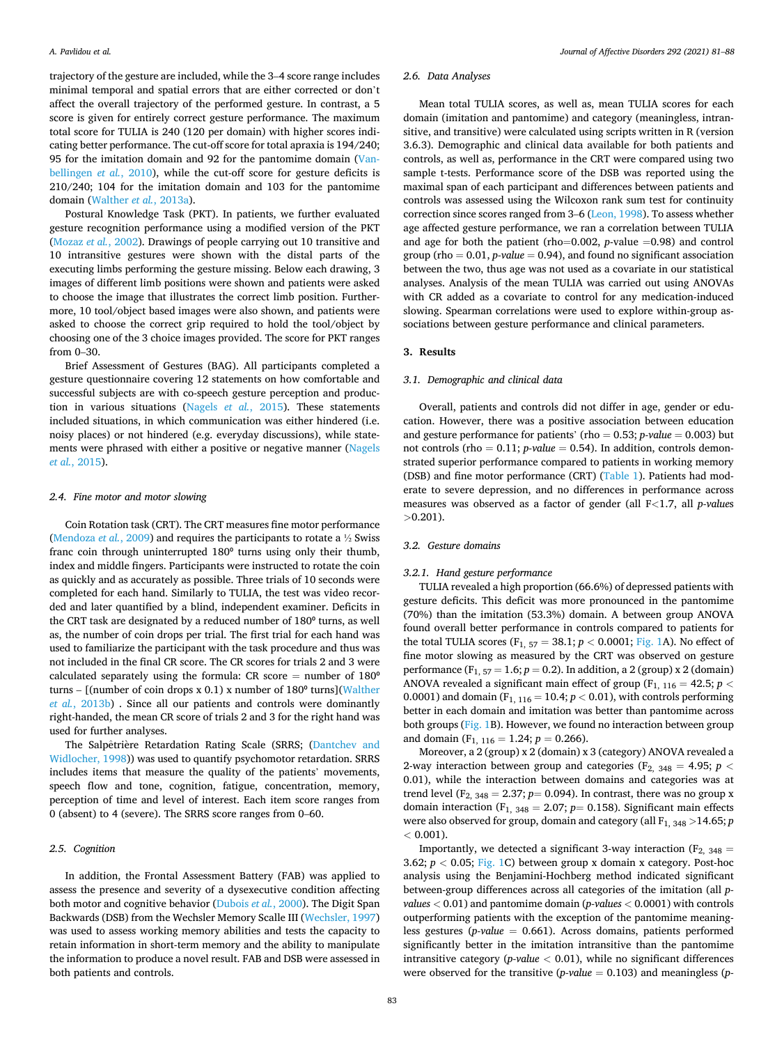trajectory of the gesture are included, while the 3–4 score range includes minimal temporal and spatial errors that are either corrected or don't affect the overall trajectory of the performed gesture. In contrast, a 5 score is given for entirely correct gesture performance. The maximum total score for TULIA is 240 (120 per domain) with higher scores indicating better performance. The cut-off score for total apraxia is 194/240; 95 for the imitation domain and 92 for the pantomime domain [\(Van](#page-7-0)[bellingen](#page-7-0) *et al.*, 2010), while the cut-off score for gesture deficits is 210/240; 104 for the imitation domain and 103 for the pantomime domain ([Walther](#page-7-0) *et al.*, 2013a).

Postural Knowledge Task (PKT). In patients, we further evaluated gesture recognition performance using a modified version of the PKT ([Mozaz](#page-6-0) *et al.*, 2002). Drawings of people carrying out 10 transitive and 10 intransitive gestures were shown with the distal parts of the executing limbs performing the gesture missing. Below each drawing, 3 images of different limb positions were shown and patients were asked to choose the image that illustrates the correct limb position. Furthermore, 10 tool/object based images were also shown, and patients were asked to choose the correct grip required to hold the tool/object by choosing one of the 3 choice images provided. The score for PKT ranges from 0–30.

Brief Assessment of Gestures (BAG). All participants completed a gesture questionnaire covering 12 statements on how comfortable and successful subjects are with co-speech gesture perception and production in various situations ([Nagels](#page-7-0) *et al.*, 2015). These statements included situations, in which communication was either hindered (i.e. noisy places) or not hindered (e.g. everyday discussions), while statements were phrased with either a positive or negative manner [\(Nagels](#page-7-0)  *et al.*[, 2015\)](#page-7-0).

#### *2.4. Fine motor and motor slowing*

Coin Rotation task (CRT). The CRT measures fine motor performance ([Mendoza](#page-6-0) *et al.*, 2009) and requires the participants to rotate a ½ Swiss franc coin through uninterrupted 180<sup>°</sup> turns using only their thumb, index and middle fingers. Participants were instructed to rotate the coin as quickly and as accurately as possible. Three trials of 10 seconds were completed for each hand. Similarly to TULIA, the test was video recorded and later quantified by a blind, independent examiner. Deficits in the CRT task are designated by a reduced number of 180° turns, as well as, the number of coin drops per trial. The first trial for each hand was used to familiarize the participant with the task procedure and thus was not included in the final CR score. The CR scores for trials 2 and 3 were calculated separately using the formula: CR score = number of  $180^\circ$ turns –  $[$ (number of coin drops x 0.1) x number of 180 $\textdegree$  turns](Walther *et al.*[, 2013b\)](#page-7-0) . Since all our patients and controls were dominantly right-handed, the mean CR score of trials 2 and 3 for the right hand was used for further analyses.

The Salpêtrière Retardation Rating Scale (SRRS; (Dantchev and [Widlocher, 1998](#page-6-0))) was used to quantify psychomotor retardation. SRRS includes items that measure the quality of the patients' movements, speech flow and tone, cognition, fatigue, concentration, memory, perception of time and level of interest. Each item score ranges from 0 (absent) to 4 (severe). The SRRS score ranges from 0–60.

## *2.5. Cognition*

In addition, the Frontal Assessment Battery (FAB) was applied to assess the presence and severity of a dysexecutive condition affecting both motor and cognitive behavior ([Dubois](#page-6-0) *et al.*, 2000). The Digit Span Backwards (DSB) from the Wechsler Memory Scalle III ([Wechsler, 1997\)](#page-7-0) was used to assess working memory abilities and tests the capacity to retain information in short-term memory and the ability to manipulate the information to produce a novel result. FAB and DSB were assessed in both patients and controls.

# *2.6. Data Analyses*

Mean total TULIA scores, as well as, mean TULIA scores for each domain (imitation and pantomime) and category (meaningless, intransitive, and transitive) were calculated using scripts written in R (version 3.6.3). Demographic and clinical data available for both patients and controls, as well as, performance in the CRT were compared using two sample t-tests. Performance score of the DSB was reported using the maximal span of each participant and differences between patients and controls was assessed using the Wilcoxon rank sum test for continuity correction since scores ranged from 3–6 [\(Leon, 1998](#page-6-0)). To assess whether age affected gesture performance, we ran a correlation between TULIA and age for both the patient (rho=0.002, *p*-value =0.98) and control group (rho  $= 0.01$ , *p-value*  $= 0.94$ ), and found no significant association between the two, thus age was not used as a covariate in our statistical analyses. Analysis of the mean TULIA was carried out using ANOVAs with CR added as a covariate to control for any medication-induced slowing. Spearman correlations were used to explore within-group associations between gesture performance and clinical parameters.

#### **3. Results**

#### *3.1. Demographic and clinical data*

Overall, patients and controls did not differ in age, gender or education. However, there was a positive association between education and gesture performance for patients' (rho  $= 0.53$ ; *p-value*  $= 0.003$ ) but not controls (rho  $= 0.11$ ; *p-value*  $= 0.54$ ). In addition, controls demonstrated superior performance compared to patients in working memory (DSB) and fine motor performance (CRT) ([Table 1](#page-1-0)). Patients had moderate to severe depression, and no differences in performance across measures was observed as a factor of gender (all F*<*1.7, all *p-value*s *>*0.201).

# *3.2. Gesture domains*

#### *3.2.1. Hand gesture performance*

TULIA revealed a high proportion (66.6%) of depressed patients with gesture deficits. This deficit was more pronounced in the pantomime (70%) than the imitation (53.3%) domain. A between group ANOVA found overall better performance in controls compared to patients for the total TULIA scores (F<sub>1, 57</sub> = 38.1;  $p < 0.0001$ ; [Fig. 1A](#page-3-0)). No effect of fine motor slowing as measured by the CRT was observed on gesture performance (F1, 57 = 1.6; *p* = 0.2). In addition, a 2 (group) x 2 (domain) ANOVA revealed a significant main effect of group ( $F_{1, 116} = 42.5$ ;  $p <$ 0.0001) and domain (F<sub>1, 116</sub> = 10.4;  $p < 0.01$ ), with controls performing better in each domain and imitation was better than pantomime across both groups [\(Fig. 1B](#page-3-0)). However, we found no interaction between group and domain (F<sub>1, 116</sub> = 1.24;  $p = 0.266$ ).

Moreover, a 2 (group) x 2 (domain) x 3 (category) ANOVA revealed a 2-way interaction between group and categories ( $F_{2, 348} = 4.95$ ;  $p <$ 0.01), while the interaction between domains and categories was at trend level (F<sub>2, 348</sub> = 2.37;  $p=$  0.094). In contrast, there was no group x domain interaction (F<sub>1, 348</sub> = 2.07;  $p=$  0.158). Significant main effects were also observed for group, domain and category (all F<sub>1, 348</sub> > 14.65; *p <* 0.001).

Importantly, we detected a significant 3-way interaction  $(F_{2, 348} =$ 3.62;  $p < 0.05$ ; [Fig. 1C](#page-3-0)) between group x domain x category. Post-hoc analysis using the Benjamini-Hochberg method indicated significant between-group differences across all categories of the imitation (all *pvalues <* 0.01) and pantomime domain (*p-values <* 0.0001) with controls outperforming patients with the exception of the pantomime meaningless gestures (*p-value* = 0.661). Across domains, patients performed significantly better in the imitation intransitive than the pantomime intransitive category ( $p$ -value  $\lt$  0.01), while no significant differences were observed for the transitive (*p-value* = 0.103) and meaningless (*p-*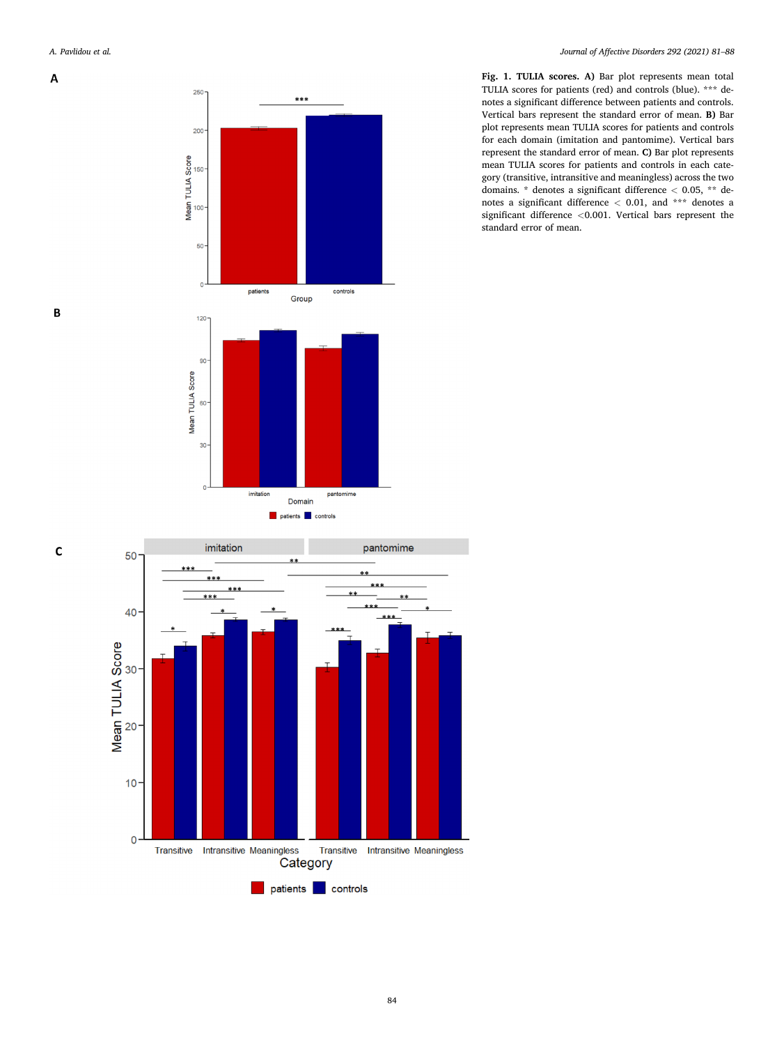<span id="page-3-0"></span> $\overline{A}$ 

*Journal of Affective Disorders 292 (2021) 81–88*



Domain







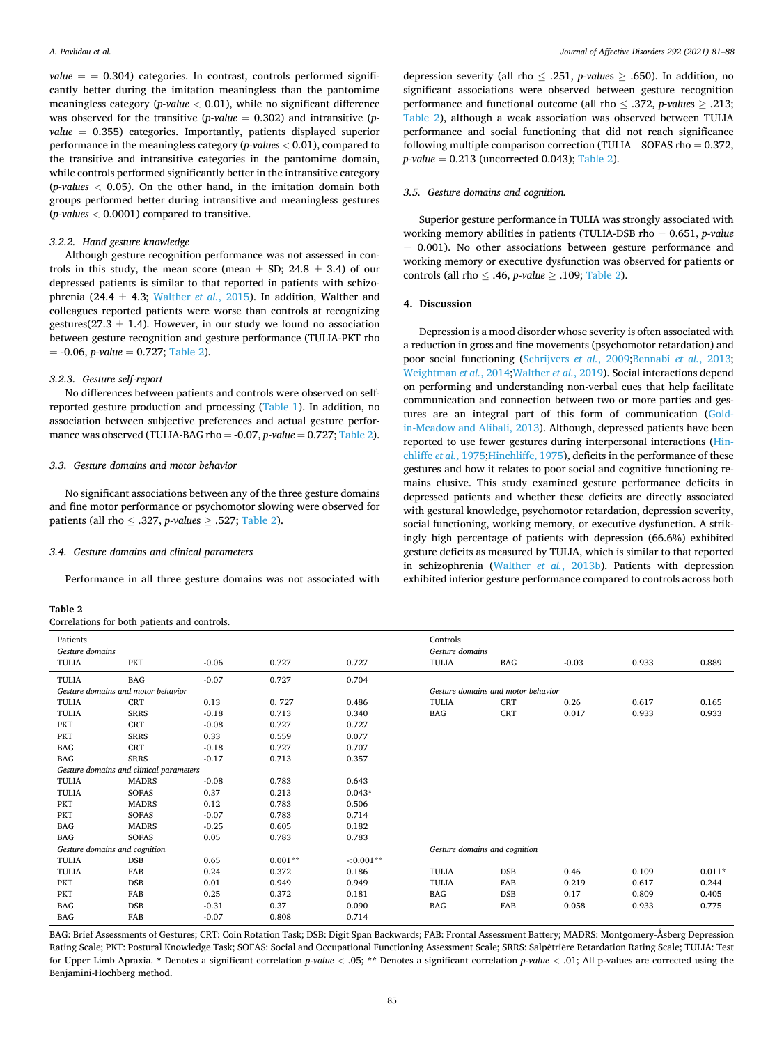$value = 0.304$  categories. In contrast, controls performed significantly better during the imitation meaningless than the pantomime meaningless category (*p-value <* 0.01), while no significant difference was observed for the transitive (*p-value* = 0.302) and intransitive (*pvalue* = 0.355) categories. Importantly, patients displayed superior performance in the meaningless category (*p-values <* 0.01), compared to the transitive and intransitive categories in the pantomime domain, while controls performed significantly better in the intransitive category (*p-values <* 0.05). On the other hand, in the imitation domain both groups performed better during intransitive and meaningless gestures (*p-values <* 0.0001) compared to transitive.

#### *3.2.2. Hand gesture knowledge*

Although gesture recognition performance was not assessed in controls in this study, the mean score (mean  $\pm$  SD; 24.8  $\pm$  3.4) of our depressed patients is similar to that reported in patients with schizophrenia (24.4  $\pm$  4.3; [Walther](#page-7-0) *et al.*, 2015). In addition, Walther and colleagues reported patients were worse than controls at recognizing gestures(27.3  $\pm$  1.4). However, in our study we found no association between gesture recognition and gesture performance (TULIA-PKT rho  $= -0.06$ , *p-value*  $= 0.727$ ; Table 2).

# *3.2.3. Gesture self-report*

No differences between patients and controls were observed on selfreported gesture production and processing ([Table 1\)](#page-1-0). In addition, no association between subjective preferences and actual gesture performance was observed (TULIA-BAG rho  $= -0.07$ , *p-value*  $= 0.727$ ; Table 2).

# *3.3. Gesture domains and motor behavior*

No significant associations between any of the three gesture domains and fine motor performance or psychomotor slowing were observed for patients (all rho ≤ .327, *p-value*s ≥ .527; Table 2).

#### *3.4. Gesture domains and clinical parameters*

Performance in all three gesture domains was not associated with

#### **Table 2**

Correlations for both patients and controls.

depression severity (all rho ≤ .251, *p-value*s ≥ .650). In addition, no significant associations were observed between gesture recognition performance and functional outcome (all rho ≤ .372, *p-value*s ≥ .213; Table 2), although a weak association was observed between TULIA performance and social functioning that did not reach significance following multiple comparison correction (TULIA – SOFAS rho  $= 0.372$ , *p-value* = 0.213 (uncorrected 0.043); Table 2).

#### *3.5. Gesture domains and cognition.*

Superior gesture performance in TULIA was strongly associated with working memory abilities in patients (TULIA-DSB rho = 0.651, *p-value*  = 0.001). No other associations between gesture performance and working memory or executive dysfunction was observed for patients or controls (all rho ≤ .46, *p-value* ≥ .109; Table 2).

#### **4. Discussion**

Depression is a mood disorder whose severity is often associated with a reduction in gross and fine movements (psychomotor retardation) and poor social functioning ([Schrijvers](#page-7-0) *et al.*, 2009;[Bennabi](#page-6-0) *et al.*, 2013; [Weightman](#page-7-0) *et al.*, 2014;[Walther](#page-7-0) *et al.*, 2019). Social interactions depend on performing and understanding non-verbal cues that help facilitate communication and connection between two or more parties and gestures are an integral part of this form of communication [\(Gold](#page-6-0)[in-Meadow and Alibali, 2013\)](#page-6-0). Although, depressed patients have been reported to use fewer gestures during interpersonal interactions [\(Hin](#page-6-0)[chliffe](#page-6-0) *et al.*, 1975[;Hinchliffe, 1975](#page-6-0)), deficits in the performance of these gestures and how it relates to poor social and cognitive functioning remains elusive. This study examined gesture performance deficits in depressed patients and whether these deficits are directly associated with gestural knowledge, psychomotor retardation, depression severity, social functioning, working memory, or executive dysfunction. A strikingly high percentage of patients with depression (66.6%) exhibited gesture deficits as measured by TULIA, which is similar to that reported in schizophrenia [\(Walther](#page-7-0) *et al.*, 2013b). Patients with depression exhibited inferior gesture performance compared to controls across both

| Patients<br>Gesture domains             |              |         |           | Controls<br>Gesture domains   |                                    |            |         |       |          |  |
|-----------------------------------------|--------------|---------|-----------|-------------------------------|------------------------------------|------------|---------|-------|----------|--|
| <b>TULIA</b>                            | PKT          | $-0.06$ | 0.727     | 0.727                         | TULIA                              | BAG        | $-0.03$ | 0.933 | 0.889    |  |
| TULIA                                   | BAG          | $-0.07$ | 0.727     | 0.704                         |                                    |            |         |       |          |  |
| Gesture domains and motor behavior      |              |         |           |                               | Gesture domains and motor behavior |            |         |       |          |  |
| <b>TULIA</b>                            | CRT          | 0.13    | 0.727     | 0.486                         | <b>TULIA</b>                       | <b>CRT</b> | 0.26    | 0.617 | 0.165    |  |
| <b>TULIA</b>                            | <b>SRRS</b>  | $-0.18$ | 0.713     | 0.340                         | BAG                                | <b>CRT</b> | 0.017   | 0.933 | 0.933    |  |
| PKT                                     | CRT          | $-0.08$ | 0.727     | 0.727                         |                                    |            |         |       |          |  |
| PKT                                     | <b>SRRS</b>  | 0.33    | 0.559     | 0.077                         |                                    |            |         |       |          |  |
| <b>BAG</b>                              | <b>CRT</b>   | $-0.18$ | 0.727     | 0.707                         |                                    |            |         |       |          |  |
| <b>BAG</b>                              | <b>SRRS</b>  | $-0.17$ | 0.713     | 0.357                         |                                    |            |         |       |          |  |
| Gesture domains and clinical parameters |              |         |           |                               |                                    |            |         |       |          |  |
| <b>TULIA</b>                            | <b>MADRS</b> | $-0.08$ | 0.783     | 0.643                         |                                    |            |         |       |          |  |
| <b>TULIA</b>                            | <b>SOFAS</b> | 0.37    | 0.213     | $0.043*$                      |                                    |            |         |       |          |  |
| PKT                                     | <b>MADRS</b> | 0.12    | 0.783     | 0.506                         |                                    |            |         |       |          |  |
| PKT                                     | <b>SOFAS</b> | $-0.07$ | 0.783     | 0.714                         |                                    |            |         |       |          |  |
| <b>BAG</b>                              | <b>MADRS</b> | $-0.25$ | 0.605     | 0.182                         |                                    |            |         |       |          |  |
| BAG                                     | <b>SOFAS</b> | 0.05    | 0.783     | 0.783                         |                                    |            |         |       |          |  |
| Gesture domains and cognition           |              |         |           | Gesture domains and cognition |                                    |            |         |       |          |  |
| <b>TULIA</b>                            | DSB          | 0.65    | $0.001**$ | ${<}0.001**$                  |                                    |            |         |       |          |  |
| <b>TULIA</b>                            | FAB          | 0.24    | 0.372     | 0.186                         | <b>TULIA</b>                       | <b>DSB</b> | 0.46    | 0.109 | $0.011*$ |  |
| PKT                                     | <b>DSB</b>   | 0.01    | 0.949     | 0.949                         | <b>TULIA</b>                       | FAB        | 0.219   | 0.617 | 0.244    |  |
| PKT                                     | FAB          | 0.25    | 0.372     | 0.181                         | BAG                                | DSB        | 0.17    | 0.809 | 0.405    |  |
| <b>BAG</b>                              | <b>DSB</b>   | $-0.31$ | 0.37      | 0.090                         | BAG                                | FAB        | 0.058   | 0.933 | 0.775    |  |
| <b>BAG</b>                              | FAB          | $-0.07$ | 0.808     | 0.714                         |                                    |            |         |       |          |  |

BAG: Brief Assessments of Gestures; CRT: Coin Rotation Task; DSB: Digit Span Backwards; FAB: Frontal Assessment Battery; MADRS: Montgomery-Åsberg Depression Rating Scale; PKT: Postural Knowledge Task; SOFAS: Social and Occupational Functioning Assessment Scale; SRRS: Salpêtrière Retardation Rating Scale; TULIA: Test for Upper Limb Apraxia. \* Denotes a significant correlation *p-value <* .05; \*\* Denotes a significant correlation *p-value <* .01; All p-values are corrected using the Benjamini-Hochberg method.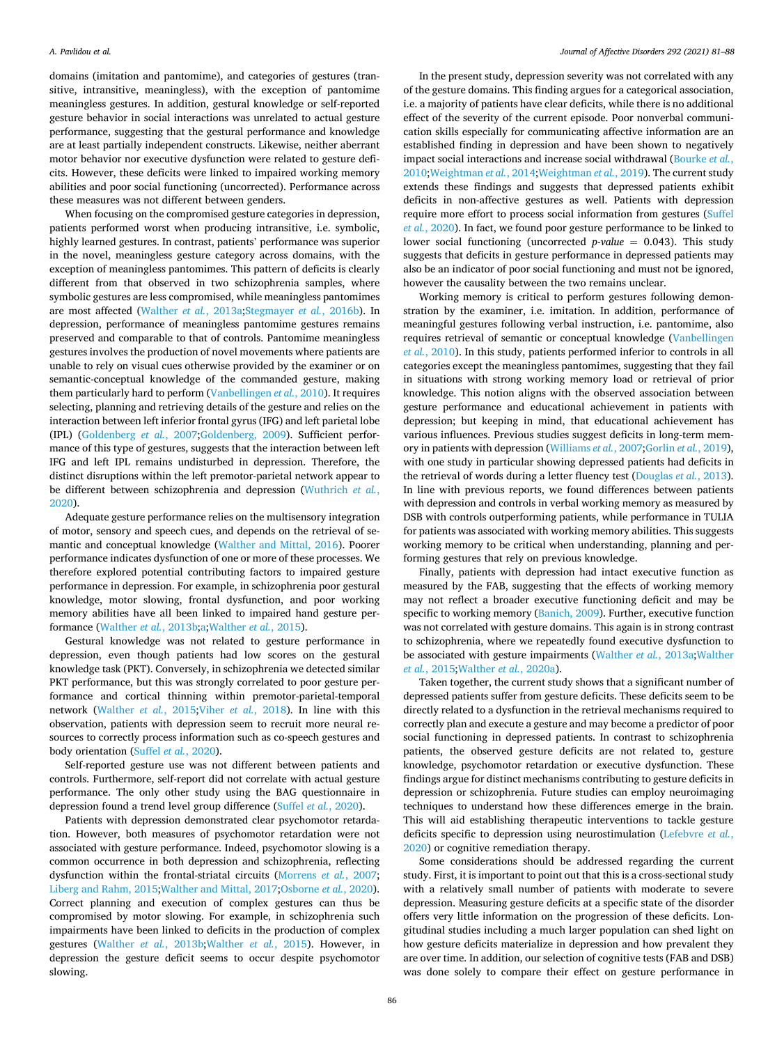domains (imitation and pantomime), and categories of gestures (transitive, intransitive, meaningless), with the exception of pantomime meaningless gestures. In addition, gestural knowledge or self-reported gesture behavior in social interactions was unrelated to actual gesture performance, suggesting that the gestural performance and knowledge are at least partially independent constructs. Likewise, neither aberrant motor behavior nor executive dysfunction were related to gesture deficits. However, these deficits were linked to impaired working memory abilities and poor social functioning (uncorrected). Performance across these measures was not different between genders.

When focusing on the compromised gesture categories in depression, patients performed worst when producing intransitive, i.e. symbolic, highly learned gestures. In contrast, patients' performance was superior in the novel, meaningless gesture category across domains, with the exception of meaningless pantomimes. This pattern of deficits is clearly different from that observed in two schizophrenia samples, where symbolic gestures are less compromised, while meaningless pantomimes are most affected [\(Walther](#page-7-0) *et al.*, 2013a[;Stegmayer](#page-7-0) *et al.*, 2016b). In depression, performance of meaningless pantomime gestures remains preserved and comparable to that of controls. Pantomime meaningless gestures involves the production of novel movements where patients are unable to rely on visual cues otherwise provided by the examiner or on semantic-conceptual knowledge of the commanded gesture, making them particularly hard to perform ([Vanbellingen](#page-7-0) *et al.*, 2010). It requires selecting, planning and retrieving details of the gesture and relies on the interaction between left inferior frontal gyrus (IFG) and left parietal lobe (IPL) [\(Goldenberg](#page-6-0) *et al.*, 2007[;Goldenberg, 2009](#page-6-0)). Sufficient performance of this type of gestures, suggests that the interaction between left IFG and left IPL remains undisturbed in depression. Therefore, the distinct disruptions within the left premotor-parietal network appear to be different between schizophrenia and depression [\(Wuthrich](#page-7-0) *et al.*, [2020\)](#page-7-0).

Adequate gesture performance relies on the multisensory integration of motor, sensory and speech cues, and depends on the retrieval of semantic and conceptual knowledge ([Walther and Mittal, 2016](#page-7-0)). Poorer performance indicates dysfunction of one or more of these processes. We therefore explored potential contributing factors to impaired gesture performance in depression. For example, in schizophrenia poor gestural knowledge, motor slowing, frontal dysfunction, and poor working memory abilities have all been linked to impaired hand gesture performance [\(Walther](#page-7-0) *et al.*, 2013b;[a;Walther](#page-7-0) *et al.*, 2015).

Gestural knowledge was not related to gesture performance in depression, even though patients had low scores on the gestural knowledge task (PKT). Conversely, in schizophrenia we detected similar PKT performance, but this was strongly correlated to poor gesture performance and cortical thinning within premotor-parietal-temporal network ([Walther](#page-7-0) *et al.*, 2015;Viher *et al.*[, 2018\)](#page-7-0). In line with this observation, patients with depression seem to recruit more neural resources to correctly process information such as co-speech gestures and body orientation (Suffel *et al.*[, 2020\)](#page-7-0).

Self-reported gesture use was not different between patients and controls. Furthermore, self-report did not correlate with actual gesture performance. The only other study using the BAG questionnaire in depression found a trend level group difference (Suffel *et al.*[, 2020\)](#page-7-0).

Patients with depression demonstrated clear psychomotor retardation. However, both measures of psychomotor retardation were not associated with gesture performance. Indeed, psychomotor slowing is a common occurrence in both depression and schizophrenia, reflecting dysfunction within the frontal-striatal circuits [\(Morrens](#page-6-0) *et al.*, 2007; [Liberg and Rahm, 2015](#page-6-0)[;Walther and Mittal, 2017;Osborne](#page-7-0) *et al.*, 2020). Correct planning and execution of complex gestures can thus be compromised by motor slowing. For example, in schizophrenia such impairments have been linked to deficits in the production of complex gestures ([Walther](#page-7-0) *et al.*, 2013b;[Walther](#page-7-0) *et al.*, 2015). However, in depression the gesture deficit seems to occur despite psychomotor slowing.

In the present study, depression severity was not correlated with any of the gesture domains. This finding argues for a categorical association, i.e. a majority of patients have clear deficits, while there is no additional effect of the severity of the current episode. Poor nonverbal communication skills especially for communicating affective information are an established finding in depression and have been shown to negatively impact social interactions and increase social withdrawal ([Bourke](#page-6-0) *et al.*, [2010;](#page-6-0)[Weightman](#page-7-0) *et al.*, 2014[;Weightman](#page-7-0) *et al.*, 2019). The current study extends these findings and suggests that depressed patients exhibit deficits in non-affective gestures as well. Patients with depression require more effort to process social information from gestures ([Suffel](#page-7-0)  *et al.*[, 2020](#page-7-0)). In fact, we found poor gesture performance to be linked to lower social functioning (uncorrected *p-value* = 0.043). This study suggests that deficits in gesture performance in depressed patients may also be an indicator of poor social functioning and must not be ignored, however the causality between the two remains unclear.

Working memory is critical to perform gestures following demonstration by the examiner, i.e. imitation. In addition, performance of meaningful gestures following verbal instruction, i.e. pantomime, also requires retrieval of semantic or conceptual knowledge [\(Vanbellingen](#page-7-0)  *et al.*[, 2010\)](#page-7-0). In this study, patients performed inferior to controls in all categories except the meaningless pantomimes, suggesting that they fail in situations with strong working memory load or retrieval of prior knowledge. This notion aligns with the observed association between gesture performance and educational achievement in patients with depression; but keeping in mind, that educational achievement has various influences. Previous studies suggest deficits in long-term memory in patients with depression ([Williams](#page-7-0) *et al.*, 2007;[Gorlin](#page-6-0) *et al.*, 2019), with one study in particular showing depressed patients had deficits in the retrieval of words during a letter fluency test [\(Douglas](#page-6-0) *et al.*, 2013). In line with previous reports, we found differences between patients with depression and controls in verbal working memory as measured by DSB with controls outperforming patients, while performance in TULIA for patients was associated with working memory abilities. This suggests working memory to be critical when understanding, planning and performing gestures that rely on previous knowledge.

Finally, patients with depression had intact executive function as measured by the FAB, suggesting that the effects of working memory may not reflect a broader executive functioning deficit and may be specific to working memory [\(Banich, 2009](#page-6-0)). Further, executive function was not correlated with gesture domains. This again is in strong contrast to schizophrenia, where we repeatedly found executive dysfunction to be associated with gesture impairments ([Walther](#page-7-0) *et al.*, 2013a;[Walther](#page-7-0)  *et al.*[, 2015;Walther](#page-7-0) *et al.*, 2020a).

Taken together, the current study shows that a significant number of depressed patients suffer from gesture deficits. These deficits seem to be directly related to a dysfunction in the retrieval mechanisms required to correctly plan and execute a gesture and may become a predictor of poor social functioning in depressed patients. In contrast to schizophrenia patients, the observed gesture deficits are not related to, gesture knowledge, psychomotor retardation or executive dysfunction. These findings argue for distinct mechanisms contributing to gesture deficits in depression or schizophrenia. Future studies can employ neuroimaging techniques to understand how these differences emerge in the brain. This will aid establishing therapeutic interventions to tackle gesture deficits specific to depression using neurostimulation [\(Lefebvre](#page-6-0) *et al.*, [2020\)](#page-6-0) or cognitive remediation therapy.

Some considerations should be addressed regarding the current study. First, it is important to point out that this is a cross-sectional study with a relatively small number of patients with moderate to severe depression. Measuring gesture deficits at a specific state of the disorder offers very little information on the progression of these deficits. Longitudinal studies including a much larger population can shed light on how gesture deficits materialize in depression and how prevalent they are over time. In addition, our selection of cognitive tests (FAB and DSB) was done solely to compare their effect on gesture performance in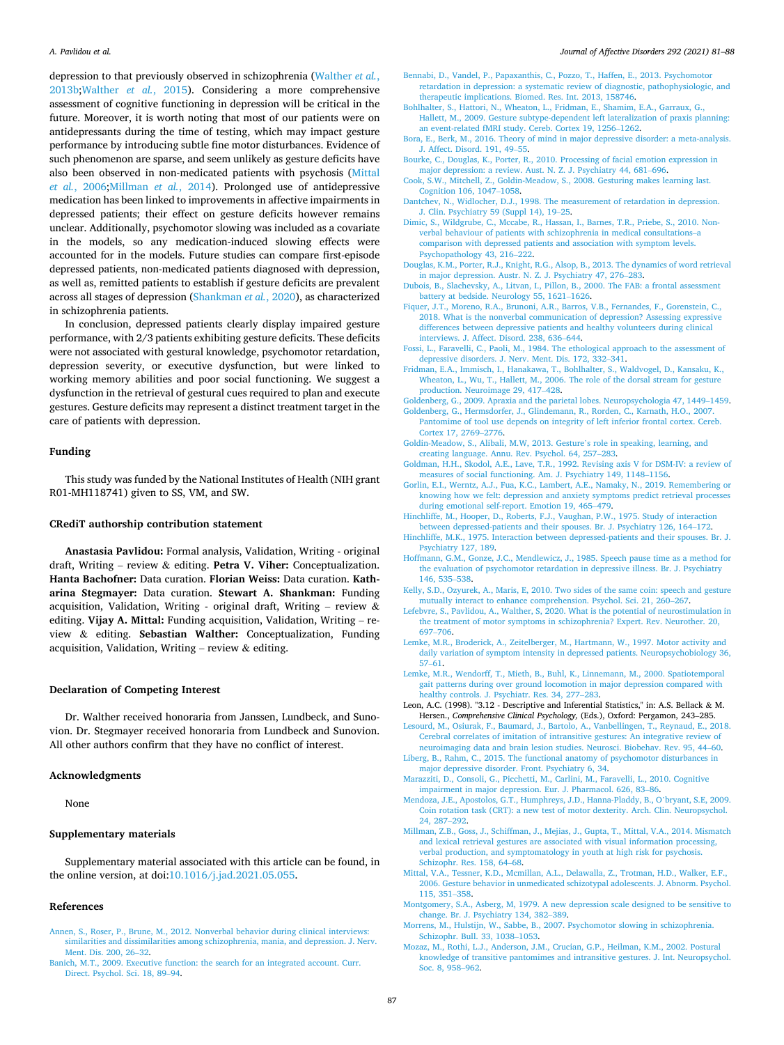<span id="page-6-0"></span>depression to that previously observed in schizophrenia [\(Walther](#page-7-0) *et al.*, [2013b;Walther](#page-7-0) *et al.*, 2015). Considering a more comprehensive assessment of cognitive functioning in depression will be critical in the future. Moreover, it is worth noting that most of our patients were on antidepressants during the time of testing, which may impact gesture performance by introducing subtle fine motor disturbances. Evidence of such phenomenon are sparse, and seem unlikely as gesture deficits have also been observed in non-medicated patients with psychosis (Mittal *et al.*, 2006;Millman *et al.*, 2014). Prolonged use of antidepressive medication has been linked to improvements in affective impairments in depressed patients; their effect on gesture deficits however remains unclear. Additionally, psychomotor slowing was included as a covariate in the models, so any medication-induced slowing effects were accounted for in the models. Future studies can compare first-episode depressed patients, non-medicated patients diagnosed with depression, as well as, remitted patients to establish if gesture deficits are prevalent across all stages of depression ([Shankman](#page-7-0) *et al.*, 2020), as characterized in schizophrenia patients.

In conclusion, depressed patients clearly display impaired gesture performance, with 2/3 patients exhibiting gesture deficits. These deficits were not associated with gestural knowledge, psychomotor retardation, depression severity, or executive dysfunction, but were linked to working memory abilities and poor social functioning. We suggest a dysfunction in the retrieval of gestural cues required to plan and execute gestures. Gesture deficits may represent a distinct treatment target in the care of patients with depression.

#### **Funding**

This study was funded by the National Institutes of Health (NIH grant R01-MH118741) given to SS, VM, and SW.

# **CRediT authorship contribution statement**

**Anastasia Pavlidou:** Formal analysis, Validation, Writing - original draft, Writing – review & editing. **Petra V. Viher:** Conceptualization. **Hanta Bachofner:** Data curation. **Florian Weiss:** Data curation. **Katharina Stegmayer:** Data curation. **Stewart A. Shankman:** Funding acquisition, Validation, Writing - original draft, Writing - review  $\&$ editing. **Vijay A. Mittal:** Funding acquisition, Validation, Writing – review & editing. **Sebastian Walther:** Conceptualization, Funding acquisition, Validation, Writing – review  $&$  editing.

# **Declaration of Competing Interest**

Dr. Walther received honoraria from Janssen, Lundbeck, and Sunovion. Dr. Stegmayer received honoraria from Lundbeck and Sunovion. All other authors confirm that they have no conflict of interest.

# **Acknowledgments**

None

## **Supplementary materials**

Supplementary material associated with this article can be found, in the online version, at doi:[10.1016/j.jad.2021.05.055](https://doi.org/10.1016/j.jad.2021.05.055).

#### **References**

#### *Journal of Affective Disorders 292 (2021) 81–88*

- [Bennabi, D., Vandel, P., Papaxanthis, C., Pozzo, T., Haffen, E., 2013. Psychomotor](http://refhub.elsevier.com/S0165-0327(21)00499-7/sbref0003) [retardation in depression: a systematic review of diagnostic, pathophysiologic, and](http://refhub.elsevier.com/S0165-0327(21)00499-7/sbref0003)  [therapeutic implications. Biomed. Res. Int. 2013, 158746.](http://refhub.elsevier.com/S0165-0327(21)00499-7/sbref0003)
- Bohlhalter, S., Hattori, N., Wheaton, L., Fridman, E., Shamim, E.A., Garraux, G. [Hallett, M., 2009. Gesture subtype-dependent left lateralization of praxis planning:](http://refhub.elsevier.com/S0165-0327(21)00499-7/sbref0004)  [an event-related fMRI study. Cereb. Cortex 19, 1256](http://refhub.elsevier.com/S0165-0327(21)00499-7/sbref0004)–1262.
- [Bora, E., Berk, M., 2016. Theory of mind in major depressive disorder: a meta-analysis.](http://refhub.elsevier.com/S0165-0327(21)00499-7/sbref0005)  [J. Affect. Disord. 191, 49](http://refhub.elsevier.com/S0165-0327(21)00499-7/sbref0005)–55.
- [Bourke, C., Douglas, K., Porter, R., 2010. Processing of facial emotion expression in](http://refhub.elsevier.com/S0165-0327(21)00499-7/sbref0006) [major depression: a review. Aust. N. Z. J. Psychiatry 44, 681](http://refhub.elsevier.com/S0165-0327(21)00499-7/sbref0006)–696.
- [Cook, S.W., Mitchell, Z., Goldin-Meadow, S., 2008. Gesturing makes learning last.](http://refhub.elsevier.com/S0165-0327(21)00499-7/sbref0007)  [Cognition 106, 1047](http://refhub.elsevier.com/S0165-0327(21)00499-7/sbref0007)–1058.
- [Dantchev, N., Widlocher, D.J., 1998. The measurement of retardation in depression.](http://refhub.elsevier.com/S0165-0327(21)00499-7/sbref0008) [J. Clin. Psychiatry 59 \(Suppl 14\), 19](http://refhub.elsevier.com/S0165-0327(21)00499-7/sbref0008)–25.
- [Dimic, S., Wildgrube, C., Mccabe, R., Hassan, I., Barnes, T.R., Priebe, S., 2010. Non](http://refhub.elsevier.com/S0165-0327(21)00499-7/sbref0009)[verbal behaviour of patients with schizophrenia in medical consultations](http://refhub.elsevier.com/S0165-0327(21)00499-7/sbref0009)–a [comparison with depressed patients and association with symptom levels.](http://refhub.elsevier.com/S0165-0327(21)00499-7/sbref0009) [Psychopathology 43, 216](http://refhub.elsevier.com/S0165-0327(21)00499-7/sbref0009)–222.
- [Douglas, K.M., Porter, R.J., Knight, R.G., Alsop, B., 2013. The dynamics of word retrieval](http://refhub.elsevier.com/S0165-0327(21)00499-7/sbref0010)  [in major depression. Austr. N. Z. J. Psychiatry 47, 276](http://refhub.elsevier.com/S0165-0327(21)00499-7/sbref0010)–283.
- [Dubois, B., Slachevsky, A., Litvan, I., Pillon, B., 2000. The FAB: a frontal assessment](http://refhub.elsevier.com/S0165-0327(21)00499-7/sbref0011)  [battery at bedside. Neurology 55, 1621](http://refhub.elsevier.com/S0165-0327(21)00499-7/sbref0011)–1626.
- [Fiquer, J.T., Moreno, R.A., Brunoni, A.R., Barros, V.B., Fernandes, F., Gorenstein, C.,](http://refhub.elsevier.com/S0165-0327(21)00499-7/sbref0012) [2018. What is the nonverbal communication of depression? Assessing expressive](http://refhub.elsevier.com/S0165-0327(21)00499-7/sbref0012)  [differences between depressive patients and healthy volunteers during clinical](http://refhub.elsevier.com/S0165-0327(21)00499-7/sbref0012)  [interviews. J. Affect. Disord. 238, 636](http://refhub.elsevier.com/S0165-0327(21)00499-7/sbref0012)–644.
- [Fossi, L., Faravelli, C., Paoli, M., 1984. The ethological approach to the assessment of](http://refhub.elsevier.com/S0165-0327(21)00499-7/sbref0013) [depressive disorders. J. Nerv. Ment. Dis. 172, 332](http://refhub.elsevier.com/S0165-0327(21)00499-7/sbref0013)–341.
- [Fridman, E.A., Immisch, I., Hanakawa, T., Bohlhalter, S., Waldvogel, D., Kansaku, K.,](http://refhub.elsevier.com/S0165-0327(21)00499-7/sbref0014) [Wheaton, L., Wu, T., Hallett, M., 2006. The role of the dorsal stream for gesture](http://refhub.elsevier.com/S0165-0327(21)00499-7/sbref0014) [production. Neuroimage 29, 417](http://refhub.elsevier.com/S0165-0327(21)00499-7/sbref0014)–428.
- [Goldenberg, G., 2009. Apraxia and the parietal lobes. Neuropsychologia 47, 1449](http://refhub.elsevier.com/S0165-0327(21)00499-7/sbref0015)–1459. [Goldenberg, G., Hermsdorfer, J., Glindemann, R., Rorden, C., Karnath, H.O., 2007.](http://refhub.elsevier.com/S0165-0327(21)00499-7/sbref0016)
- [Pantomime of tool use depends on integrity of left inferior frontal cortex. Cereb.](http://refhub.elsevier.com/S0165-0327(21)00499-7/sbref0016)  [Cortex 17, 2769](http://refhub.elsevier.com/S0165-0327(21)00499-7/sbref0016)–2776.
- [Goldin-Meadow, S., Alibali, M.W, 2013. Gesture](http://refhub.elsevier.com/S0165-0327(21)00499-7/sbref0017)'s role in speaking, learning, and [creating language. Annu. Rev. Psychol. 64, 257](http://refhub.elsevier.com/S0165-0327(21)00499-7/sbref0017)–283.
- [Goldman, H.H., Skodol, A.E., Lave, T.R., 1992. Revising axis V for DSM-IV: a review of](http://refhub.elsevier.com/S0165-0327(21)00499-7/sbref0018)  [measures of social functioning. Am. J. Psychiatry 149, 1148](http://refhub.elsevier.com/S0165-0327(21)00499-7/sbref0018)–1156.
- [Gorlin, E.I., Werntz, A.J., Fua, K.C., Lambert, A.E., Namaky, N., 2019. Remembering or](http://refhub.elsevier.com/S0165-0327(21)00499-7/sbref0019)  [knowing how we felt: depression and anxiety symptoms predict retrieval processes](http://refhub.elsevier.com/S0165-0327(21)00499-7/sbref0019) [during emotional self-report. Emotion 19, 465](http://refhub.elsevier.com/S0165-0327(21)00499-7/sbref0019)–479.
- [Hinchliffe, M., Hooper, D., Roberts, F.J., Vaughan, P.W., 1975. Study of interaction](http://refhub.elsevier.com/S0165-0327(21)00499-7/sbref0020)  [between depressed-patients and their spouses. Br. J. Psychiatry 126, 164](http://refhub.elsevier.com/S0165-0327(21)00499-7/sbref0020)–172.
- [Hinchliffe, M.K., 1975. Interaction between depressed-patients and their spouses. Br. J.](http://refhub.elsevier.com/S0165-0327(21)00499-7/sbref0021)  [Psychiatry 127, 189.](http://refhub.elsevier.com/S0165-0327(21)00499-7/sbref0021)
- [Hoffmann, G.M., Gonze, J.C., Mendlewicz, J., 1985. Speech pause time as a method for](http://refhub.elsevier.com/S0165-0327(21)00499-7/sbref0022)  [the evaluation of psychomotor retardation in depressive illness. Br. J. Psychiatry](http://refhub.elsevier.com/S0165-0327(21)00499-7/sbref0022)  [146, 535](http://refhub.elsevier.com/S0165-0327(21)00499-7/sbref0022)–538.
- [Kelly, S.D., Ozyurek, A., Maris, E, 2010. Two sides of the same coin: speech and gesture](http://refhub.elsevier.com/S0165-0327(21)00499-7/sbref0023)  [mutually interact to enhance comprehension. Psychol. Sci. 21, 260](http://refhub.elsevier.com/S0165-0327(21)00499-7/sbref0023)–267.
- [Lefebvre, S., Pavlidou, A., Walther, S, 2020. What is the potential of neurostimulation in](http://refhub.elsevier.com/S0165-0327(21)00499-7/sbref0024)  [the treatment of motor symptoms in schizophrenia? Expert. Rev. Neurother. 20,](http://refhub.elsevier.com/S0165-0327(21)00499-7/sbref0024) 697–[706](http://refhub.elsevier.com/S0165-0327(21)00499-7/sbref0024).
- [Lemke, M.R., Broderick, A., Zeitelberger, M., Hartmann, W., 1997. Motor activity and](http://refhub.elsevier.com/S0165-0327(21)00499-7/sbref0025) [daily variation of symptom intensity in depressed patients. Neuropsychobiology 36,](http://refhub.elsevier.com/S0165-0327(21)00499-7/sbref0025)  57–[61](http://refhub.elsevier.com/S0165-0327(21)00499-7/sbref0025).
- [Lemke, M.R., Wendorff, T., Mieth, B., Buhl, K., Linnemann, M., 2000. Spatiotemporal](http://refhub.elsevier.com/S0165-0327(21)00499-7/sbref0026)  [gait patterns during over ground locomotion in major depression compared with](http://refhub.elsevier.com/S0165-0327(21)00499-7/sbref0026) [healthy controls. J. Psychiatr. Res. 34, 277](http://refhub.elsevier.com/S0165-0327(21)00499-7/sbref0026)–283.
- Leon, A.C. (1998). "3.12 Descriptive and Inferential Statistics," in: A.S. Bellack & M. Hersen., *Comprehensive Clinical Psychology,* (Eds.), Oxford: Pergamon, 243–285.
- [Lesourd, M., Osiurak, F., Baumard, J., Bartolo, A., Vanbellingen, T., Reynaud, E., 2018.](http://refhub.elsevier.com/S0165-0327(21)00499-7/sbref0028)  [Cerebral correlates of imitation of intransitive gestures: An integrative review of](http://refhub.elsevier.com/S0165-0327(21)00499-7/sbref0028)
- [neuroimaging data and brain lesion studies. Neurosci. Biobehav. Rev. 95, 44](http://refhub.elsevier.com/S0165-0327(21)00499-7/sbref0028)–60. [Liberg, B., Rahm, C., 2015. The functional anatomy of psychomotor disturbances in](http://refhub.elsevier.com/S0165-0327(21)00499-7/sbref0029)  [major depressive disorder. Front. Psychiatry 6, 34](http://refhub.elsevier.com/S0165-0327(21)00499-7/sbref0029).
- [Marazziti, D., Consoli, G., Picchetti, M., Carlini, M., Faravelli, L., 2010. Cognitive](http://refhub.elsevier.com/S0165-0327(21)00499-7/sbref0030) [impairment in major depression. Eur. J. Pharmacol. 626, 83](http://refhub.elsevier.com/S0165-0327(21)00499-7/sbref0030)–86.
- [Mendoza, J.E., Apostolos, G.T., Humphreys, J.D., Hanna-Pladdy, B., O](http://refhub.elsevier.com/S0165-0327(21)00499-7/sbref0031)'bryant, S.E, 2009. [Coin rotation task \(CRT\): a new test of motor dexterity. Arch. Clin. Neuropsychol.](http://refhub.elsevier.com/S0165-0327(21)00499-7/sbref0031) [24, 287](http://refhub.elsevier.com/S0165-0327(21)00499-7/sbref0031)–292.
- [Millman, Z.B., Goss, J., Schiffman, J., Mejias, J., Gupta, T., Mittal, V.A., 2014. Mismatch](http://refhub.elsevier.com/S0165-0327(21)00499-7/sbref0032)  [and lexical retrieval gestures are associated with visual information processing,](http://refhub.elsevier.com/S0165-0327(21)00499-7/sbref0032) [verbal production, and symptomatology in youth at high risk for psychosis.](http://refhub.elsevier.com/S0165-0327(21)00499-7/sbref0032) [Schizophr. Res. 158, 64](http://refhub.elsevier.com/S0165-0327(21)00499-7/sbref0032)–68.
- [Mittal, V.A., Tessner, K.D., Mcmillan, A.L., Delawalla, Z., Trotman, H.D., Walker, E.F.,](http://refhub.elsevier.com/S0165-0327(21)00499-7/sbref0033)  [2006. Gesture behavior in unmedicated schizotypal adolescents. J. Abnorm. Psychol.](http://refhub.elsevier.com/S0165-0327(21)00499-7/sbref0033)  [115, 351](http://refhub.elsevier.com/S0165-0327(21)00499-7/sbref0033)–358.
- [Montgomery, S.A., Asberg, M, 1979. A new depression scale designed to be sensitive to](http://refhub.elsevier.com/S0165-0327(21)00499-7/sbref0034)  [change. Br. J. Psychiatry 134, 382](http://refhub.elsevier.com/S0165-0327(21)00499-7/sbref0034)–389.
- [Morrens, M., Hulstijn, W., Sabbe, B., 2007. Psychomotor slowing in schizophrenia.](http://refhub.elsevier.com/S0165-0327(21)00499-7/sbref0035)  [Schizophr. Bull. 33, 1038](http://refhub.elsevier.com/S0165-0327(21)00499-7/sbref0035)–1053.
- [Mozaz, M., Rothi, L.J., Anderson, J.M., Crucian, G.P., Heilman, K.M., 2002. Postural](http://refhub.elsevier.com/S0165-0327(21)00499-7/sbref0036)  [knowledge of transitive pantomimes and intransitive gestures. J. Int. Neuropsychol.](http://refhub.elsevier.com/S0165-0327(21)00499-7/sbref0036)  [Soc. 8, 958](http://refhub.elsevier.com/S0165-0327(21)00499-7/sbref0036)–962.

[Annen, S., Roser, P., Brune, M., 2012. Nonverbal behavior during clinical interviews:](http://refhub.elsevier.com/S0165-0327(21)00499-7/sbref0001)  [similarities and dissimilarities among schizophrenia, mania, and depression. J. Nerv.](http://refhub.elsevier.com/S0165-0327(21)00499-7/sbref0001)  [Ment. Dis. 200, 26](http://refhub.elsevier.com/S0165-0327(21)00499-7/sbref0001)–32.

[Banich, M.T., 2009. Executive function: the search for an integrated account. Curr.](http://refhub.elsevier.com/S0165-0327(21)00499-7/sbref0002) [Direct. Psychol. Sci. 18, 89](http://refhub.elsevier.com/S0165-0327(21)00499-7/sbref0002)–94.